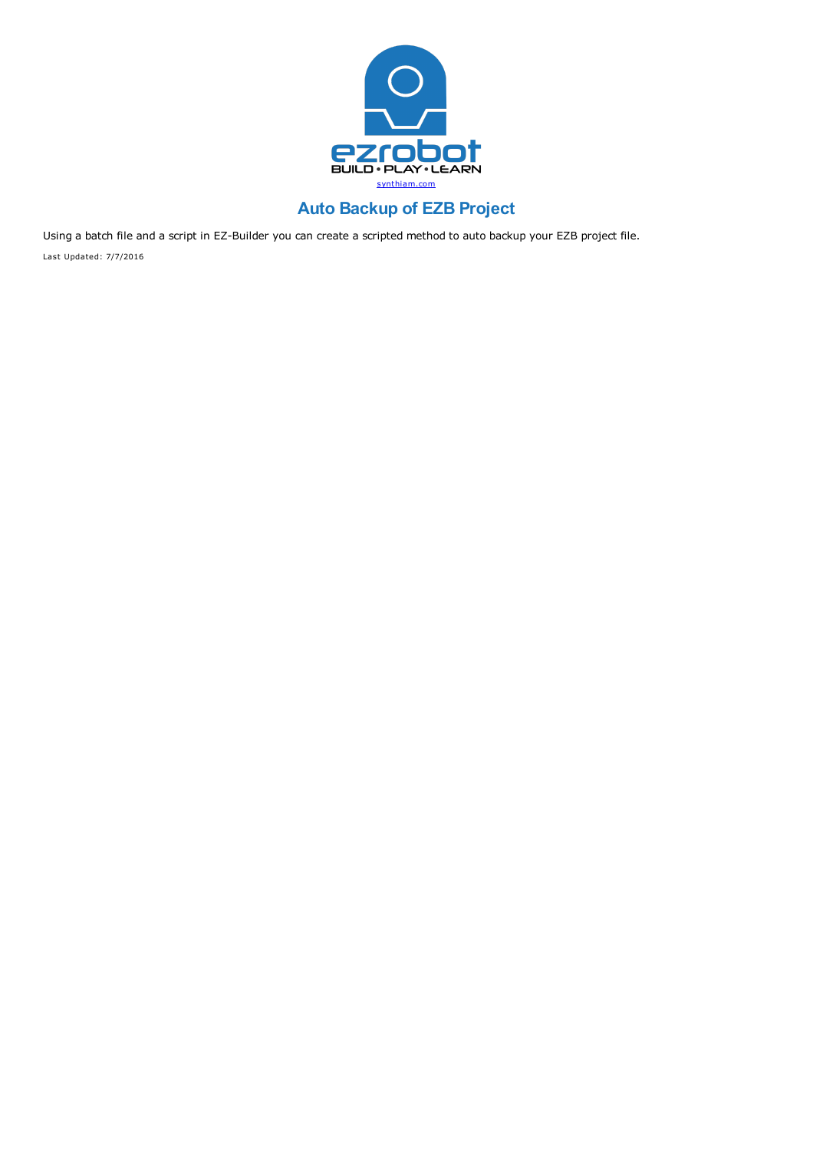

# **Auto Backup of EZB Project**

Using a batch file and a script in EZ-Builder you can create a scripted method to auto backup your EZB project file. Last Updated: 7/7/2016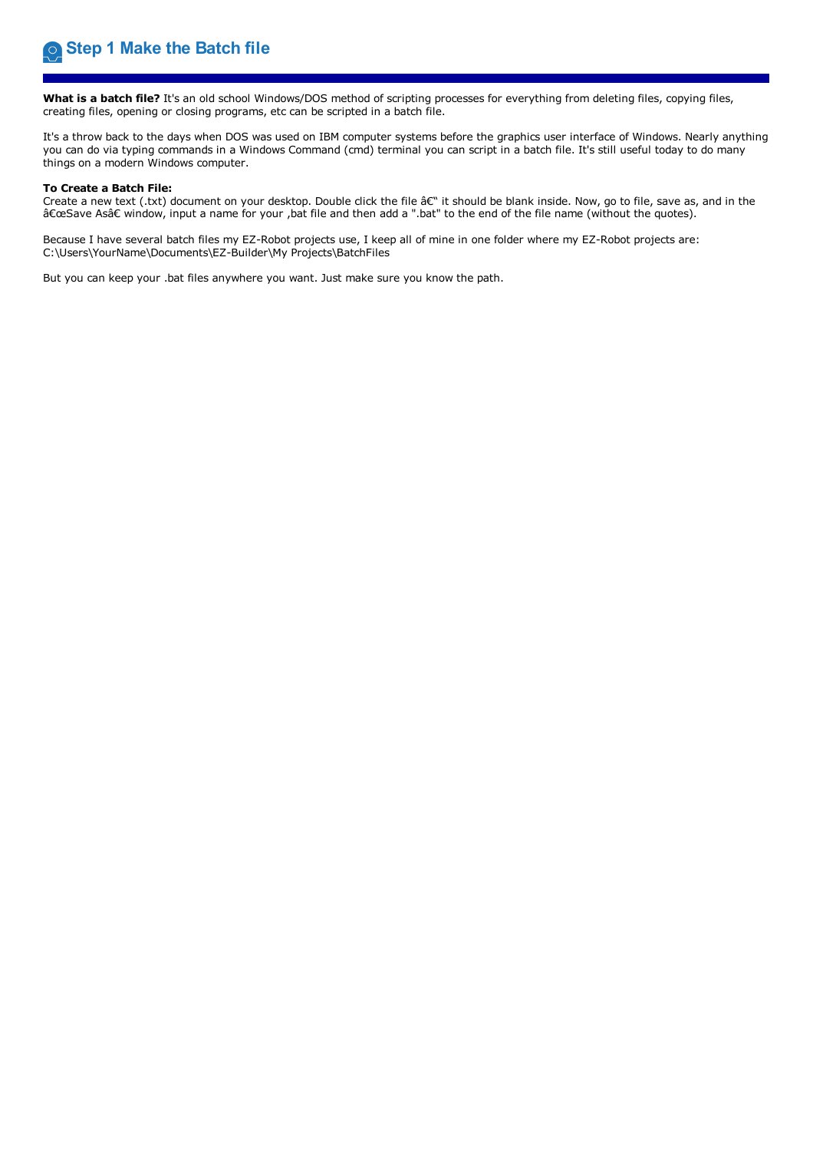**What is a batch file?** It's an old school Windows/DOS method of scripting processes for everything from deleting files, copying files, creating files, opening or closing programs, etc can be scripted in a batch file.

It's a throw back to the days when DOS was used on IBM computer systems before the graphics user interface of Windows. Nearly anything you can do via typing commands in a Windows Command (cmd) terminal you can script in a batch file. It's still useful today to do many things on a modern Windows computer.

**To Create a Batch File:**<br>Create a new text (.txt) document on your desktop. Double click the file â€" it should be blank inside. Now, go to file, save as, and in the "Save As†window, input a name for your ,bat file and then add a ".bat" to the end of the file name (without the quotes).

Because I have several batch files my EZ-Robot projects use, I keep all of mine in one folder where my EZ-Robot projects are:<br>C:\Users\YourName\Documents\EZ-Builder\My Projects\BatchFiles

But you can keep your .bat files anywhere you want. Just make sure you know the path.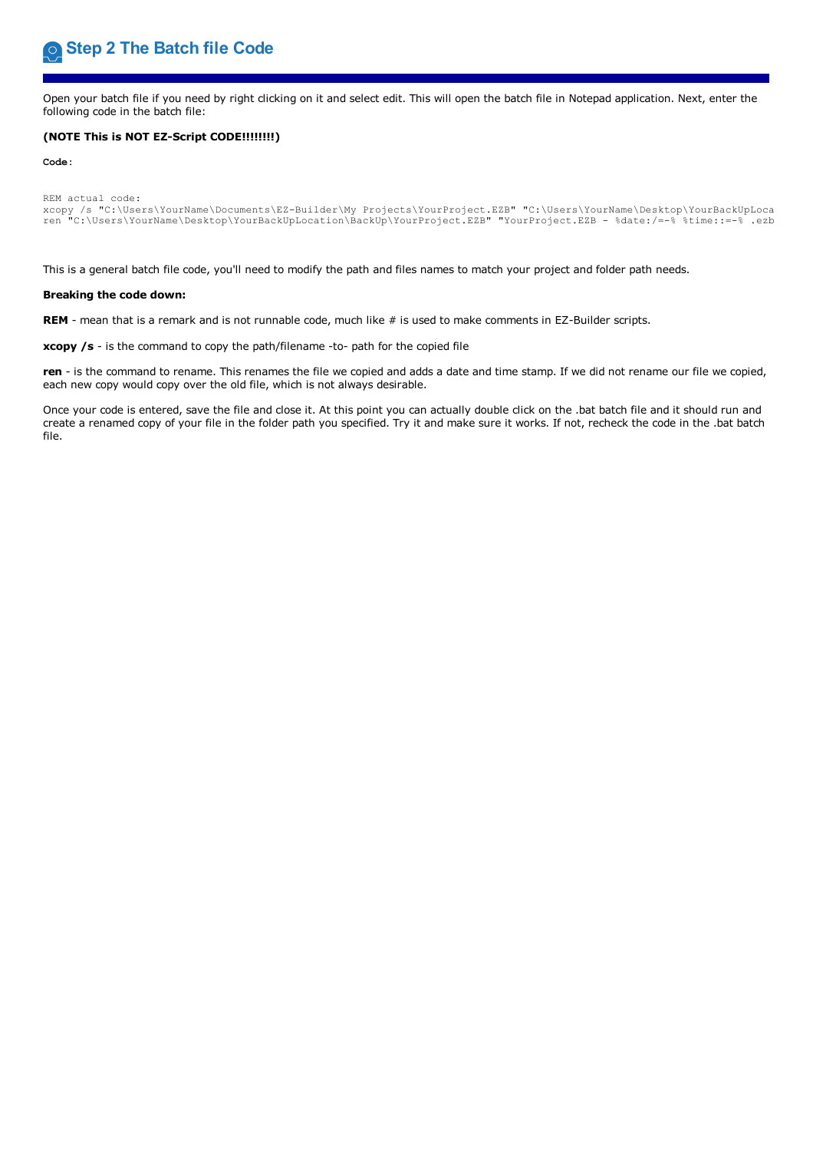Open your batch file if you need by right clicking on it and select edit. This will open the batch file in Notepad application. Next, enter the following code in the batch file:

## **(NOTE This is NOT EZ-Script CODE!!!!!!!!)**

**Code:**

```
REM actual code:
xcopy /s "C:\Users\YourName\Documents\EZ-Builder\My Projects\YourProject.EZB" "C:\Users\YourName\Desktop\YourBackUpLocation\BackUp"
ren "C:\Users\YourName\Desktop\YourBackUpLocation\BackUp\YourProject.EZB" "YourProject.EZB - %date:/=-% %time::=-% .ezb
```
This is a general batch file code, you'll need to modify the path and files names to match your project and folder path needs.

### **Breaking the code down:**

REM - mean that is a remark and is not runnable code, much like # is used to make comments in EZ-Builder scripts.

**xcopy /s** - is the command to copy the path/filename -to- path for the copied file

**ren** - is the command to rename. This renames the file we copied and adds a date and time stamp. If we did not rename our file we copied, each new copy would copy over the old file, which is not always desirable.

Once your code is entered, save the file and close it. At this point you can actually double click on the .bat batch file and it should run and create a renamed copy of your file in the folder path you specified. Try it and make sure it works. If not, recheck the code in the .bat batch file.